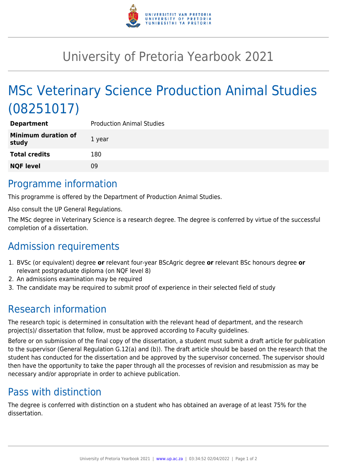

# University of Pretoria Yearbook 2021

# MSc Veterinary Science Production Animal Studies (08251017)

| <b>Department</b>            | <b>Production Animal Studies</b> |
|------------------------------|----------------------------------|
| Minimum duration of<br>study | 1 year                           |
| <b>Total credits</b>         | 180                              |
| <b>NQF level</b>             | 09                               |

## Programme information

This programme is offered by the Department of Production Animal Studies.

Also consult the UP General Regulations.

The MSc degree in Veterinary Science is a research degree. The degree is conferred by virtue of the successful completion of a dissertation.

# Admission requirements

- 1. BVSc (or equivalent) degree **or** relevant four-year BScAgric degree **or** relevant BSc honours degree **or** relevant postgraduate diploma (on NQF level 8)
- 2. An admissions examination may be required
- 3. The candidate may be required to submit proof of experience in their selected field of study

# Research information

The research topic is determined in consultation with the relevant head of department, and the research project(s)/ dissertation that follow, must be approved according to Faculty guidelines.

Before or on submission of the final copy of the dissertation, a student must submit a draft article for publication to the supervisor (General Regulation G.12(a) and (b)). The draft article should be based on the research that the student has conducted for the dissertation and be approved by the supervisor concerned. The supervisor should then have the opportunity to take the paper through all the processes of revision and resubmission as may be necessary and/or appropriate in order to achieve publication.

# Pass with distinction

The degree is conferred with distinction on a student who has obtained an average of at least 75% for the dissertation.